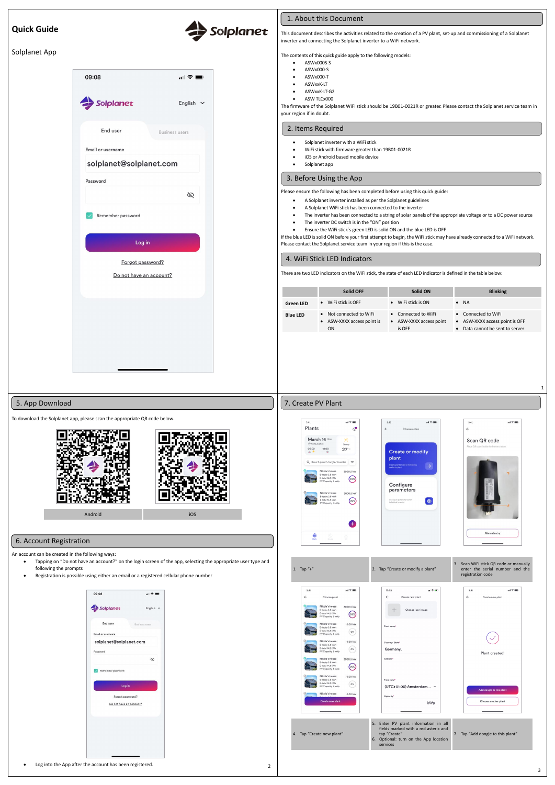# **Quick Guide**

### Solplanet App



This document describes the activities related to the creation of a PV plant, set-up and commissioning of a Solplanet inverter and connecting the Solplanet inverter to a WiFi network.

- ASWx000-S
- ASWx000-T
- ASWxxK-LT
- ASWxxK-LT-G2
- ASW TLCx000

The contents of this quick guide apply to the following models:

• ASWx000S-S

Solplanet

The firmware of the Solplanet WiFi stick should be 19B01-0021R or greater. Please contact the Solplanet service team in your region if in doubt.

- Solplanet inverter with a WiFi stick
- WiFi stick with firmware greater than 19B01-0021R
- iOS or Android based mobile device
- Solplanet app

Please ensure the following has been completed before using this quick guide:

- A Solplanet inverter installed as per the Solplanet guidelines
- A Solplanet WiFi stick has been connected to the inverter
- The inverter has been connected to a string of solar panels of the appropriate voltage or to a DC power source
- The inverter DC switch is in the "ON" position
- Ensure the WiFi stick´s green LED is solid ON and the blue LED is OFF

If the blue LED is solid ON before your first attempt to begin, the WiFi stick may have already connected to a WiFi network. Please contact the Solplanet service team in your region if this is the case.

There are two LED indicators on the WiFi stick, the state of each LED indicator is defined in the table below:

|                  | Solid OFF                                                              | Solid ON                                                 | <b>Blinking</b>                                                                        |
|------------------|------------------------------------------------------------------------|----------------------------------------------------------|----------------------------------------------------------------------------------------|
| <b>Green LED</b> | WiFi stick is OFF<br>$\bullet$                                         | WiFi stick is ON<br>$\bullet$                            | $\bullet$ NA                                                                           |
| <b>Blue LED</b>  | Not connected to WiFi<br>$\bullet$<br>• ASW-XXXX access point is<br>ΟN | • Connected to WiFi<br>• ASW-XXXX access point<br>is OFF | • Connected to WiFi<br>• ASW-XXXX access point is OFF<br>Data cannot be sent to server |

To download the Solplanet app, please scan the appropriate QR code below.



An account can be created in the following ways:

- Tapping on "Do not have an account?" on the login screen of the app, selecting the appropriate user type and following the prompts
	- Registration is possible using either an email or a registered cellular phone number



• Log into the App after the account has been registered.







# 1. About this Document

#### 2. Items Required

1

2

#### 3. Before Using the App

## 4. WiFi Stick LED Indicators

# 5. App Download

#### 6. Account Registration

## 7. Create PV Plant